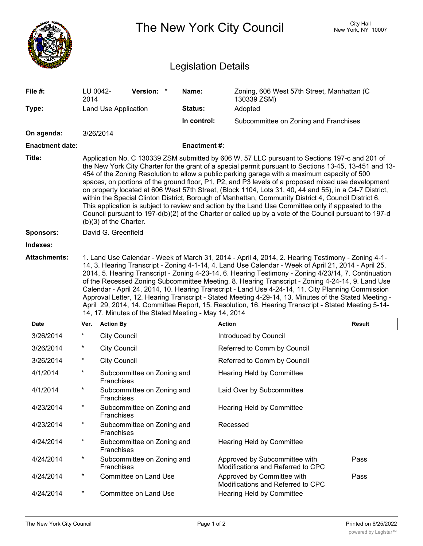|                            |                                                                                                                                                                                                                                                                                                                                                                                                                                                                                                                                                                                                                                                                                                                                                                                                                                                                           |                                          |                    | The New York City Council                                          | <b>City Hall</b><br>New York, NY 10007 |  |  |  |
|----------------------------|---------------------------------------------------------------------------------------------------------------------------------------------------------------------------------------------------------------------------------------------------------------------------------------------------------------------------------------------------------------------------------------------------------------------------------------------------------------------------------------------------------------------------------------------------------------------------------------------------------------------------------------------------------------------------------------------------------------------------------------------------------------------------------------------------------------------------------------------------------------------------|------------------------------------------|--------------------|--------------------------------------------------------------------|----------------------------------------|--|--|--|
| <b>Legislation Details</b> |                                                                                                                                                                                                                                                                                                                                                                                                                                                                                                                                                                                                                                                                                                                                                                                                                                                                           |                                          |                    |                                                                    |                                        |  |  |  |
| File #:                    | LU 0042-<br>2014                                                                                                                                                                                                                                                                                                                                                                                                                                                                                                                                                                                                                                                                                                                                                                                                                                                          | Version: *                               | Name:              | Zoning, 606 West 57th Street, Manhattan (C<br>130339 ZSM)          |                                        |  |  |  |
| Type:                      |                                                                                                                                                                                                                                                                                                                                                                                                                                                                                                                                                                                                                                                                                                                                                                                                                                                                           | Land Use Application                     | Status:            | Adopted                                                            |                                        |  |  |  |
|                            |                                                                                                                                                                                                                                                                                                                                                                                                                                                                                                                                                                                                                                                                                                                                                                                                                                                                           |                                          | In control:        | Subcommittee on Zoning and Franchises                              |                                        |  |  |  |
| On agenda:                 |                                                                                                                                                                                                                                                                                                                                                                                                                                                                                                                                                                                                                                                                                                                                                                                                                                                                           | 3/26/2014                                |                    |                                                                    |                                        |  |  |  |
| <b>Enactment date:</b>     |                                                                                                                                                                                                                                                                                                                                                                                                                                                                                                                                                                                                                                                                                                                                                                                                                                                                           |                                          | <b>Enactment#:</b> |                                                                    |                                        |  |  |  |
| Title:                     | Application No. C 130339 ZSM submitted by 606 W. 57 LLC pursuant to Sections 197-c and 201 of<br>the New York City Charter for the grant of a special permit pursuant to Sections 13-45, 13-451 and 13-<br>454 of the Zoning Resolution to allow a public parking garage with a maximum capacity of 500<br>spaces, on portions of the ground floor, P1, P2, and P3 levels of a proposed mixed use development<br>on property located at 606 West 57th Street, (Block 1104, Lots 31, 40, 44 and 55), in a C4-7 District,<br>within the Special Clinton District, Borough of Manhattan, Community District 4, Council District 6.<br>This application is subject to review and action by the Land Use Committee only if appealed to the<br>Council pursuant to 197-d(b)(2) of the Charter or called up by a vote of the Council pursuant to 197-d<br>(b)(3) of the Charter. |                                          |                    |                                                                    |                                        |  |  |  |
| <b>Sponsors:</b>           |                                                                                                                                                                                                                                                                                                                                                                                                                                                                                                                                                                                                                                                                                                                                                                                                                                                                           | David G. Greenfield                      |                    |                                                                    |                                        |  |  |  |
| Indexes:                   |                                                                                                                                                                                                                                                                                                                                                                                                                                                                                                                                                                                                                                                                                                                                                                                                                                                                           |                                          |                    |                                                                    |                                        |  |  |  |
| <b>Attachments:</b>        | 1. Land Use Calendar - Week of March 31, 2014 - April 4, 2014, 2. Hearing Testimony - Zoning 4-1-<br>14, 3. Hearing Transcript - Zoning 4-1-14, 4. Land Use Calendar - Week of April 21, 2014 - April 25,<br>2014, 5. Hearing Transcript - Zoning 4-23-14, 6. Hearing Testimony - Zoning 4/23/14, 7. Continuation<br>of the Recessed Zoning Subcommittee Meeting, 8. Hearing Transcript - Zoning 4-24-14, 9. Land Use<br>Calendar - April 24, 2014, 10. Hearing Transcript - Land Use 4-24-14, 11. City Planning Commission<br>Approval Letter, 12. Hearing Transcript - Stated Meeting 4-29-14, 13. Minutes of the Stated Meeting -<br>April 29, 2014, 14. Committee Report, 15. Resolution, 16. Hearing Transcript - Stated Meeting 5-14-<br>14, 17. Minutes of the Stated Meeting - May 14, 2014                                                                       |                                          |                    |                                                                    |                                        |  |  |  |
| <b>Date</b>                |                                                                                                                                                                                                                                                                                                                                                                                                                                                                                                                                                                                                                                                                                                                                                                                                                                                                           | Ver. Action By                           |                    | <b>Action</b>                                                      | <b>Result</b>                          |  |  |  |
| 3/26/2014                  | $^\star$                                                                                                                                                                                                                                                                                                                                                                                                                                                                                                                                                                                                                                                                                                                                                                                                                                                                  | <b>City Council</b>                      |                    | Introduced by Council                                              |                                        |  |  |  |
| 3/26/2014                  | $^{\ast}$                                                                                                                                                                                                                                                                                                                                                                                                                                                                                                                                                                                                                                                                                                                                                                                                                                                                 | <b>City Council</b>                      |                    | Referred to Comm by Council                                        |                                        |  |  |  |
| 3/26/2014                  | $^\star$                                                                                                                                                                                                                                                                                                                                                                                                                                                                                                                                                                                                                                                                                                                                                                                                                                                                  | <b>City Council</b>                      |                    | Referred to Comm by Council                                        |                                        |  |  |  |
| 4/1/2014                   | $\star$                                                                                                                                                                                                                                                                                                                                                                                                                                                                                                                                                                                                                                                                                                                                                                                                                                                                   | Subcommittee on Zoning and<br>Franchises |                    | Hearing Held by Committee                                          |                                        |  |  |  |
| 4/1/2014                   | $\star$                                                                                                                                                                                                                                                                                                                                                                                                                                                                                                                                                                                                                                                                                                                                                                                                                                                                   | Subcommittee on Zoning and<br>Franchises |                    | Laid Over by Subcommittee                                          |                                        |  |  |  |
| 4/23/2014                  | $^\star$                                                                                                                                                                                                                                                                                                                                                                                                                                                                                                                                                                                                                                                                                                                                                                                                                                                                  | Subcommittee on Zoning and<br>Franchises |                    | Hearing Held by Committee                                          |                                        |  |  |  |
| 4/23/2014                  | $^\star$                                                                                                                                                                                                                                                                                                                                                                                                                                                                                                                                                                                                                                                                                                                                                                                                                                                                  | Subcommittee on Zoning and<br>Franchises |                    | Recessed                                                           |                                        |  |  |  |
| 4/24/2014                  | $^\star$                                                                                                                                                                                                                                                                                                                                                                                                                                                                                                                                                                                                                                                                                                                                                                                                                                                                  | Subcommittee on Zoning and<br>Franchises |                    | Hearing Held by Committee                                          |                                        |  |  |  |
| 4/24/2014                  | $^\star$                                                                                                                                                                                                                                                                                                                                                                                                                                                                                                                                                                                                                                                                                                                                                                                                                                                                  | Subcommittee on Zoning and<br>Franchises |                    | Approved by Subcommittee with<br>Modifications and Referred to CPC | Pass                                   |  |  |  |
| 4/24/2014                  | $\star$                                                                                                                                                                                                                                                                                                                                                                                                                                                                                                                                                                                                                                                                                                                                                                                                                                                                   | Committee on Land Use                    |                    | Approved by Committee with<br>Modifications and Referred to CPC    | Pass                                   |  |  |  |
| 4/24/2014                  | $^\star$                                                                                                                                                                                                                                                                                                                                                                                                                                                                                                                                                                                                                                                                                                                                                                                                                                                                  | Committee on Land Use                    |                    | Hearing Held by Committee                                          |                                        |  |  |  |